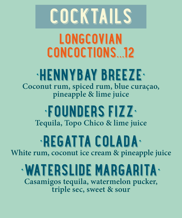#### ezer and the secretary of the secretary of the secretary of the secretary of the secretary of the secretary of the secretary of the secretary of the secretary of the secretary of the secretary of the secretary of the secre **Coconut rum, spiced rum, blue curaçao, pineapple & lime juice**

## • PEGANT PROPERTY AND A **White rum, coconut ice cream & pineapple juice**



# **Tequila, Topo Chico & lime juice**

#### •WATERSLIDE MARGARITA• **Casamigos tequila, watermelon pucker, triple sec, sweet & sour**



# LONGCOVINA CONCOL PRISONS.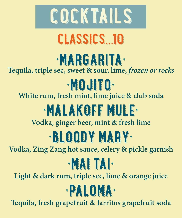## • MARGARITA PARTIES **Tequila, triple sec, sweet & sour, lime,** *frozen or rocks*

## e de la commune de la commune de la commune de la commune de la commune de la commune de la commune de la commune de la commune de la commune de la commune de la commune de la commune de la commune de la commune de la comm **White rum, fresh mint, lime juice & club soda**

## • MALAKOFF MULE-

# **Vodka, ginger beer, mint & fresh lime** •BLOODY MARY• **Vodka, Zing Zang hot sauce, celery & pickle garnish**

# • Maria Labour 1995

**Light & dark rum, triple sec, lime & orange juice**

# **Experience of the Community of the Community of the Community of the Community of the Community of the Community of the Community of the Community of the Community of the Community of the Community of the Community of the**

**Tequila, fresh grapefruit & Jarritos grapefruit soda**



# CLASSICS.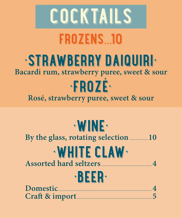

#### **By the glass, rotating selection.................10**

## •WHITE CLAW• **Assorted hard seltzers..............................................4**



| Craft & import |  |
|----------------|--|

## •STRAWBERRY DAIQUIRI• **Bacardi rum, strawberry puree, sweet & sour** •FROZÉ• **Rosé, strawberry puree, sweet & sour**



# FROZENS.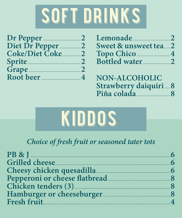#### $\overline{N}$ and a factor of the factor of the factor of the factor of the factor of the factor of the factor of the factor<br>The factor of the factor of the factor of the factor of the factor of the factor of the factor of the factor o<br>

| Dr Pepper      |              |
|----------------|--------------|
| Diet Dr Pepper | $\angle$     |
| Coke/Diet Coke | $\mathbf{Z}$ |
| Sprite         | $\mathbf{Z}$ |
| Grape          |              |
| Root beer      |              |

| Sweet & unsweet tea2 |  |
|----------------------|--|
| Topo Chico  4        |  |
| Bottled water2       |  |

NON-ALCOHOLIC Strawberry daiquiri 18



#### Choice of fresh fruit or seasoned tater tots

| <b>PB &amp; J.</b>            |   |
|-------------------------------|---|
| Grilled cheese.               |   |
| Cheesy chicken quesadilla     | 6 |
| Pepperoni or cheese flatbread |   |
| Chicken tenders (3)           |   |
| Hamburger or cheeseburger.    |   |
| Fresh fruit                   |   |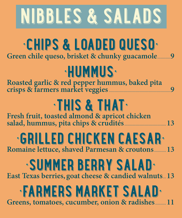# NIBLES & SALADS & SALADS

## •CHIPS & LOADED QUESO• **Green chile queso, brisket & chunky guacamole............9**

#### **Communication Roasted garlic & red pepper hummus, baked pita crisps & farmers market veggies........................................................9**



## • ARMERS MARKET SALAD• **Greens, tomatoes, cucumber, onion & radishes..........11**

**Fresh fruit, toasted almond & apricot chicken salad, hummus, pita chips & crudités......................................13**

## •GRILLED CHICKEN CAESAR• **Romaine lettuce, shaved Parmesan & croutons...........13**

## •SUMMER BERRY SALAD• **East Texas berries, goat cheese & candied walnuts...13**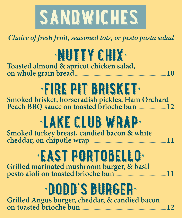

#### *Choice of fresh fruit, seasoned tots, or pesto pasta salad*

#### **•NUTTY CHIX Toasted almond & apricot chicken salad, on whole grain bread...................................................................................10**

#### •FIRE PIT BRISKET• **Smoked brisket, horseradish pickles, Ham Orchard Peach BBQ sauce on toasted brioche bun...........................12**

# •LAKE CLUB WPA

#### •EAST DOPERTY **Grilled marinated mushroom burger, & basil pesto aioli on toasted brioche bun...............................................11**

#### **Experience of the Community of the Community of the Community of the Community of the Community of the Community of the Community of the Community of the Community of the Community of the Community of the Community of the Grilled Angus burger, cheddar, & candied bacon on toasted brioche bun..............................................................................12**

**Smoked turkey breast, candied bacon & white cheddar, on chipotle wrap......................................................................11**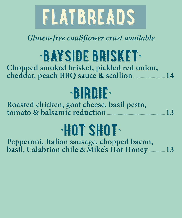

#### *Gluten-free cauliflower crust available*

### •BAYSIDE BARREN **Chopped smoked brisket, pickled red onion, cheddar, peach BBQ sauce & scallion.............................14**

**Roasted chicken, goat cheese, basil pesto,**  tomato & balsamic reduction

| <u> COTTIGLO O ODDUIDILO I CODO CIOIL MANIMUM DI CONTINUES DE L'</u> |
|----------------------------------------------------------------------|
|----------------------------------------------------------------------|

# •BIRDIE•

#### •HOT SHOT• **Pepperoni, Italian sausage, chopped bacon, basil, Calabrian chile & Mike's Hot Honey ...............13**